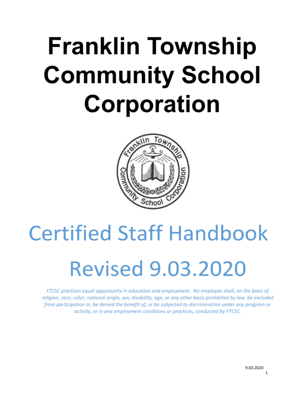# **Franklin Township Community School Corporation**



# **Certified Staff Handbook Revised 9.03.2020**

FTCSC practices equal opportunity in education and employment. No employee shall, on the basis of religion, race, color, national origin, sex, disability, age, or any other basis prohibited by law, be excluded from participation in, be denied the benefit of, or be subjected to discrimination under any program or activity, or in any employment conditions or practices, conducted by FTCSC.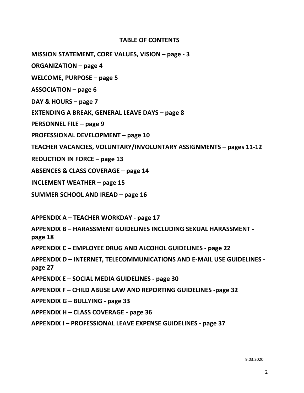### **TABLE OF CONTENTS**

**MISSION STATEMENT, CORE VALUES, VISION – page - 3**

**ORGANIZATION – page 4**

**WELCOME, PURPOSE – page 5**

**ASSOCIATION – page 6**

**DAY & HOURS – page 7**

**EXTENDING A BREAK, GENERAL LEAVE DAYS – page 8**

**PERSONNEL FILE – page 9**

**PROFESSIONAL DEVELOPMENT – page 10**

**TEACHER VACANCIES, VOLUNTARY/INVOLUNTARY ASSIGNMENTS – pages 11-12**

**REDUCTION IN FORCE – page 13**

**ABSENCES & CLASS COVERAGE – page 14**

**INCLEMENT WEATHER – page 15**

**SUMMER SCHOOL AND IREAD – page 16**

**APPENDIX A – TEACHER WORKDAY - page 17**

**APPENDIX B – HARASSMENT GUIDELINES INCLUDING SEXUAL HARASSMENT page 18**

**APPENDIX C – EMPLOYEE DRUG AND ALCOHOL GUIDELINES - page 22**

**APPENDIX D – INTERNET, TELECOMMUNICATIONS AND E-MAIL USE GUIDELINES page 27**

**APPENDIX E – SOCIAL MEDIA GUIDELINES - page 30**

**APPENDIX F – CHILD ABUSE LAW AND REPORTING GUIDELINES -page 32**

**APPENDIX G – BULLYING - page 33**

**APPENDIX H – CLASS COVERAGE - page 36**

**APPENDIX I – PROFESSIONAL LEAVE EXPENSE GUIDELINES - page 37**

9.03.2020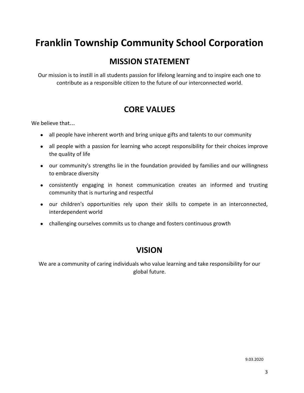# **Franklin Township Community School Corporation**

# **MISSION STATEMENT**

Our mission is to instill in all students passion for lifelong learning and to inspire each one to contribute as a responsible citizen to the future of our interconnected world.

# **CORE VALUES**

We believe that…

- all people have inherent worth and bring unique gifts and talents to our community
- all people with a passion for learning who accept responsibility for their choices improve the quality of life
- our community's strengths lie in the foundation provided by families and our willingness to embrace diversity
- consistently engaging in honest communication creates an informed and trusting community that is nurturing and respectful
- our children's opportunities rely upon their skills to compete in an interconnected, interdependent world
- challenging ourselves commits us to change and fosters continuous growth

# **VISION**

We are a community of caring individuals who value learning and take responsibility for our global future.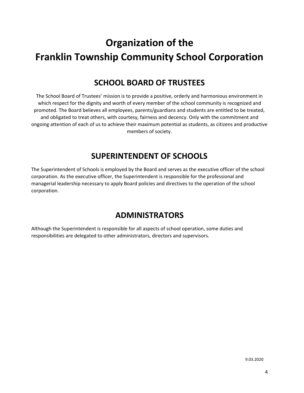# **Organization of the Franklin Township Community School Corporation**

# **SCHOOL BOARD OF TRUSTEES**

The School Board of Trustees' mission is to provide a positive, orderly and harmonious environment in which respect for the dignity and worth of every member of the school community is recognized and promoted. The Board believes all employees, parents/guardians and students are entitled to be treated, and obligated to treat others, with courtesy, fairness and decency. Only with the commitment and ongoing attention of each of us to achieve their maximum potential as students, as citizens and productive members of society.

# **SUPERINTENDENT OF SCHOOLS**

The Superintendent of Schools is employed by the Board and serves as the executive officer of the school corporation. As the executive officer, the Superintendent is responsible for the professional and managerial leadership necessary to apply Board policies and directives to the operation of the school corporation.

# **ADMINISTRATORS**

Although the Superintendent is responsible for all aspects of school operation, some duties and responsibilities are delegated to other administrators, directors and supervisors.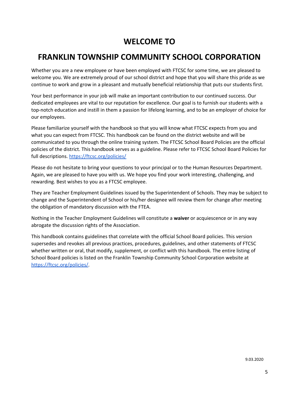# **WELCOME TO**

# **FRANKLIN TOWNSHIP COMMUNITY SCHOOL CORPORATION**

Whether you are a new employee or have been employed with FTCSC for some time, we are pleased to welcome you. We are extremely proud of our school district and hope that you will share this pride as we continue to work and grow in a pleasant and mutually beneficial relationship that puts our students first.

Your best performance in your job will make an important contribution to our continued success. Our dedicated employees are vital to our reputation for excellence. Our goal is to furnish our students with a top-notch education and instill in them a passion for lifelong learning, and to be an employer of choice for our employees.

Please familiarize yourself with the handbook so that you will know what FTCSC expects from you and what you can expect from FTCSC. This handbook can be found on the district website and will be communicated to you through the online training system. The FTCSC School Board Policies are the official policies of the district. This handbook serves as a guideline. Please refer to FTCSC School Board Policies for full descriptions. <https://ftcsc.org/policies/>

Please do not hesitate to bring your questions to your principal or to the Human Resources Department. Again, we are pleased to have you with us. We hope you find your work interesting, challenging, and rewarding. Best wishes to you as a FTCSC employee.

They are Teacher Employment Guidelines issued by the Superintendent of Schools. They may be subject to change and the Superintendent of School or his/her designee will review them for change after meeting the obligation of mandatory discussion with the FTEA.

Nothing in the Teacher Employment Guidelines will constitute a **waiver** or acquiescence or in any way abrogate the discussion rights of the Association.

This handbook contains guidelines that correlate with the official School Board policies. This version supersedes and revokes all previous practices, procedures, guidelines, and other statements of FTCSC whether written or oral, that modify, supplement, or conflict with this handbook. The entire listing of School Board policies is listed on the Franklin Township Community School Corporation website at [https://ftcsc.org/policies/.](https://ftcsc.org/policies/)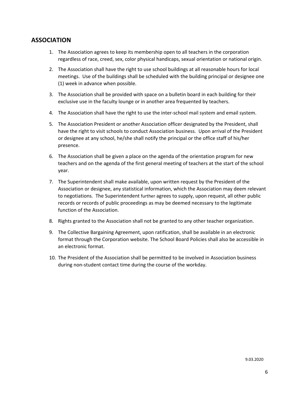# **ASSOCIATION**

- 1. The Association agrees to keep its membership open to all teachers in the corporation regardless of race, creed, sex, color physical handicaps, sexual orientation or national origin.
- 2. The Association shall have the right to use school buildings at all reasonable hours for local meetings. Use of the buildings shall be scheduled with the building principal or designee one (1) week in advance when possible.
- 3. The Association shall be provided with space on a bulletin board in each building for their exclusive use in the faculty lounge or in another area frequented by teachers.
- 4. The Association shall have the right to use the inter-school mail system and email system.
- 5. The Association President or another Association officer designated by the President, shall have the right to visit schools to conduct Association business. Upon arrival of the President or designee at any school, he/she shall notify the principal or the office staff of his/her presence.
- 6. The Association shall be given a place on the agenda of the orientation program for new teachers and on the agenda of the first general meeting of teachers at the start of the school year.
- 7. The Superintendent shall make available, upon written request by the President of the Association or designee, any statistical information, which the Association may deem relevant to negotiations. The Superintendent further agrees to supply, upon request, all other public records or records of public proceedings as may be deemed necessary to the legitimate function of the Association.
- 8. Rights granted to the Association shall not be granted to any other teacher organization.
- 9. The Collective Bargaining Agreement, upon ratification, shall be available in an electronic format through the Corporation website. The School Board Policies shall also be accessible in an electronic format.
- 10. The President of the Association shall be permitted to be involved in Association business during non-student contact time during the course of the workday.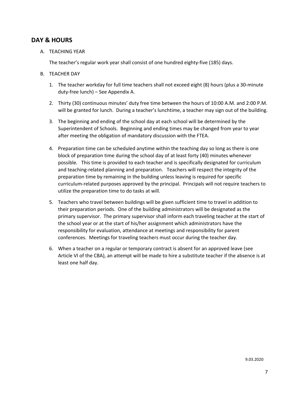# **DAY & HOURS**

A. TEACHING YEAR

The teacher's regular work year shall consist of one hundred eighty-five (185) days.

- B. TEACHER DAY
	- 1. The teacher workday for full time teachers shall not exceed eight (8) hours (plus a 30-minute duty-free lunch) – See Appendix A.
	- 2. Thirty (30) continuous minutes' duty free time between the hours of 10:00 A.M. and 2:00 P.M. will be granted for lunch. During a teacher's lunchtime, a teacher may sign out of the building.
	- 3. The beginning and ending of the school day at each school will be determined by the Superintendent of Schools. Beginning and ending times may be changed from year to year after meeting the obligation of mandatory discussion with the FTEA.
	- 4. Preparation time can be scheduled anytime within the teaching day so long as there is one block of preparation time during the school day of at least forty (40) minutes whenever possible. This time is provided to each teacher and is specifically designated for curriculum and teaching-related planning and preparation. Teachers will respect the integrity of the preparation time by remaining in the building unless leaving is required for specific curriculum-related purposes approved by the principal. Principals will not require teachers to utilize the preparation time to do tasks at will.
	- 5. Teachers who travel between buildings will be given sufficient time to travel in addition to their preparation periods. One of the building administrators will be designated as the primary supervisor. The primary supervisor shall inform each traveling teacher at the start of the school year or at the start of his/her assignment which administrators have the responsibility for evaluation, attendance at meetings and responsibility for parent conferences. Meetings for traveling teachers must occur during the teacher day.
	- 6. When a teacher on a regular or temporary contract is absent for an approved leave (see Article VI of the CBA), an attempt will be made to hire a substitute teacher if the absence is at least one half day.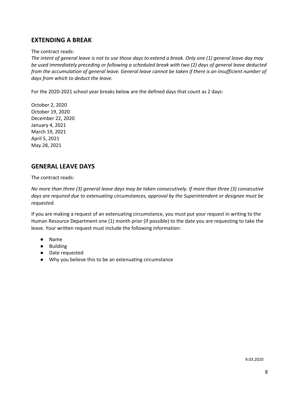# **EXTENDING A BREAK**

#### The contract reads:

The intent of general leave is not to use those days to extend a break. Only one (1) general leave day may *be used immediately preceding or following a scheduled break with two (2) days of general leave deducted* from the accumulation of general leave. General leave cannot be taken if there is an insufficient number of *days from which to deduct the leave.*

For the 2020-2021 school year breaks below are the defined days that count as 2 days:

October 2, 2020 October 19, 2020 December 22, 2020 January 4, 2021 March 19, 2021 April 5, 2021 May 28, 2021

# **GENERAL LEAVE DAYS**

The contract reads:

No more than three (3) general leave days may be taken consecutively. If more than three (3) consecutive *days are required due to extenuating circumstances, approval by the Superintendent or designee must be requested.*

If you are making a request of an extenuating circumstance, you must put your request in writing to the Human Resource Department one (1) month prior (if possible) to the date you are requesting to take the leave. Your written request must include the following information:

- Name
- Building
- Date requested
- Why you believe this to be an extenuating circumstance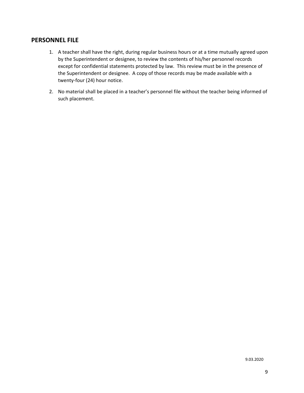# **PERSONNEL FILE**

- 1. A teacher shall have the right, during regular business hours or at a time mutually agreed upon by the Superintendent or designee, to review the contents of his/her personnel records except for confidential statements protected by law. This review must be in the presence of the Superintendent or designee. A copy of those records may be made available with a twenty-four (24) hour notice.
- 2. No material shall be placed in a teacher's personnel file without the teacher being informed of such placement.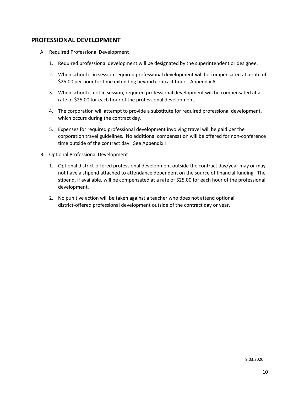# **PROFESSIONAL DEVELOPMENT**

- A. Required Professional Development
	- 1. Required professional development will be designated by the superintendent or designee.
	- 2. When school is in session required professional development will be compensated at a rate of \$25.00 per hour for time extending beyond contract hours. Appendix A
	- 3. When school is not in session, required professional development will be compensated at a rate of \$25.00 for each hour of the professional development.
	- 4. The corporation will attempt to provide a substitute for required professional development, which occurs during the contract day.
	- 5. Expenses for required professional development involving travel will be paid per the corporation travel guidelines. No additional compensation will be offered for non-conference time outside of the contract day. See Appendix I
- B. Optional Professional Development
	- 1. Optional district-offered professional development outside the contract day/year may or may not have a stipend attached to attendance dependent on the source of financial funding. The stipend, if available, will be compensated at a rate of \$25.00 for each hour of the professional development.
	- 2. No punitive action will be taken against a teacher who does not attend optional district-offered professional development outside of the contract day or year.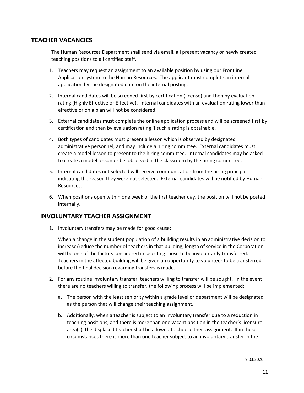# **TEACHER VACANCIES**

The Human Resources Department shall send via email, all present vacancy or newly created teaching positions to all certified staff.

- 1. Teachers may request an assignment to an available position by using our Frontline Application system to the Human Resources. The applicant must complete an internal application by the designated date on the internal posting.
- 2. Internal candidates will be screened first by certification (license) and then by evaluation rating (Highly Effective or Effective). Internal candidates with an evaluation rating lower than effective or on a plan will not be considered.
- 3. External candidates must complete the online application process and will be screened first by certification and then by evaluation rating if such a rating is obtainable.
- 4. Both types of candidates must present a lesson which is observed by designated administrative personnel, and may include a hiring committee. External candidates must create a model lesson to present to the hiring committee. Internal candidates may be asked to create a model lesson or be observed in the classroom by the hiring committee.
- 5. Internal candidates not selected will receive communication from the hiring principal indicating the reason they were not selected. External candidates will be notified by Human Resources.
- 6. When positions open within one week of the first teacher day, the position will not be posted internally.

# **INVOLUNTARY TEACHER ASSIGNMENT**

1. Involuntary transfers may be made for good cause:

When a change in the student population of a building results in an administrative decision to increase/reduce the number of teachers in that building, length of service in the Corporation will be one of the factors considered in selecting those to be involuntarily transferred. Teachers in the affected building will be given an opportunity to volunteer to be transferred before the final decision regarding transfers is made.

- 2. For any routine involuntary transfer, teachers willing to transfer will be sought. In the event there are no teachers willing to transfer, the following process will be implemented:
	- a. The person with the least seniority within a grade level or department will be designated as the person that will change their teaching assignment.
	- b. Additionally, when a teacher is subject to an involuntary transfer due to a reduction in teaching positions, and there is more than one vacant position in the teacher's licensure area(s), the displaced teacher shall be allowed to choose their assignment. If in these circumstances there is more than one teacher subject to an involuntary transfer in the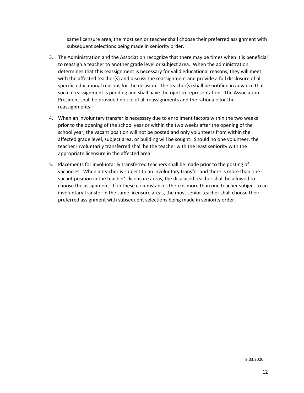same licensure area, the most senior teacher shall choose their preferred assignment with subsequent selections being made in seniority order.

- 3. The Administration and the Association recognize that there may be times when it is beneficial to reassign a teacher to another grade level or subject area. When the administration determines that this reassignment is necessary for valid educational reasons, they will meet with the affected teacher(s) and discuss the reassignment and provide a full disclosure of all specific educational reasons for the decision. The teacher(s) shall be notified in advance that such a reassignment is pending and shall have the right to representation. The Association President shall be provided notice of all reassignments and the rationale for the reassignments.
- 4. When an involuntary transfer is necessary due to enrollment factors within the two weeks prior to the opening of the school year or within the two weeks after the opening of the school year, the vacant position will not be posted and only volunteers from within the affected grade level, subject area, or building will be sought. Should no one volunteer, the teacher involuntarily transferred shall be the teacher with the least seniority with the appropriate licensure in the affected area.
- 5. Placements for involuntarily transferred teachers shall be made prior to the posting of vacancies. When a teacher is subject to an involuntary transfer and there is more than one vacant position in the teacher's licensure areas, the displaced teacher shall be allowed to choose the assignment. If in these circumstances there is more than one teacher subject to an involuntary transfer in the same licensure areas, the most senior teacher shall choose their preferred assignment with subsequent selections being made in seniority order.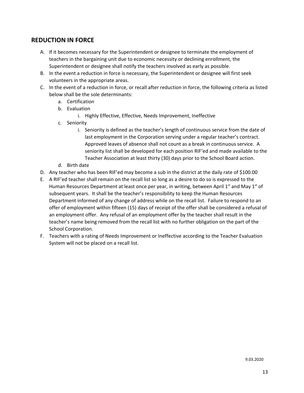# **REDUCTION IN FORCE**

- A. If it becomes necessary for the Superintendent or designee to terminate the employment of teachers in the bargaining unit due to economic necessity or declining enrollment, the Superintendent or designee shall notify the teachers involved as early as possible.
- B. In the event a reduction in force is necessary, the Superintendent or designee will first seek volunteers in the appropriate areas.
- C. In the event of a reduction in force, or recall after reduction in force, the following criteria as listed below shall be the sole determinants:
	- a. Certification
	- b. Evaluation
		- i. Highly Effective, Effective, Needs Improvement, Ineffective
	- c. Seniority
		- i. Seniority is defined as the teacher's length of continuous service from the date of last employment in the Corporation serving under a regular teacher's contract. Approved leaves of absence shall not count as a break in continuous service. A seniority list shall be developed for each position RIF'ed and made available to the Teacher Association at least thirty (30) days prior to the School Board action.
	- d. Birth date
- D. Any teacher who has been RIF'ed may become a sub in the district at the daily rate of \$100.00
- E. A RIF'ed teacher shall remain on the recall list so long as a desire to do so is expressed to the Human Resources Department at least once per year, in writing, between April 1<sup>st</sup> and May 1<sup>st</sup> of subsequent years. It shall be the teacher's responsibility to keep the Human Resources Department informed of any change of address while on the recall list. Failure to respond to an offer of employment within fifteen (15) days of receipt of the offer shall be considered a refusal of an employment offer. Any refusal of an employment offer by the teacher shall result in the teacher's name being removed from the recall list with no further obligation on the part of the School Corporation.
- F. Teachers with a rating of Needs Improvement or Ineffective according to the Teacher Evaluation System will not be placed on a recall list.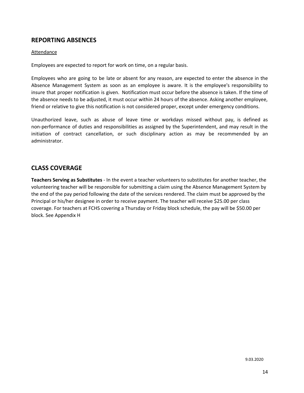# **REPORTING ABSENCES**

#### Attendance

Employees are expected to report for work on time, on a regular basis.

Employees who are going to be late or absent for any reason, are expected to enter the absence in the Absence Management System as soon as an employee is aware. It is the employee's responsibility to insure that proper notification is given. Notification must occur before the absence is taken. If the time of the absence needs to be adjusted, it must occur within 24 hours of the absence. Asking another employee, friend or relative to give this notification is not considered proper, except under emergency conditions.

Unauthorized leave, such as abuse of leave time or workdays missed without pay, is defined as non-performance of duties and responsibilities as assigned by the Superintendent, and may result in the initiation of contract cancellation, or such disciplinary action as may be recommended by an administrator.

# **CLASS COVERAGE**

**Teachers Serving as Substitutes** - In the event a teacher volunteers to substitutes for another teacher, the volunteering teacher will be responsible for submitting a claim using the Absence Management System by the end of the pay period following the date of the services rendered. The claim must be approved by the Principal or his/her designee in order to receive payment. The teacher will receive \$25.00 per class coverage. For teachers at FCHS covering a Thursday or Friday block schedule, the pay will be \$50.00 per block. See Appendix H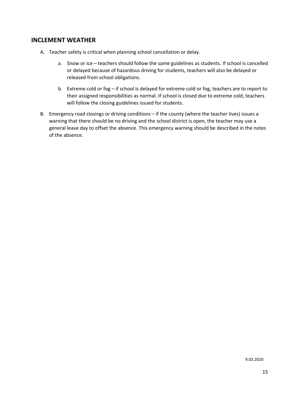# **INCLEMENT WEATHER**

- A. Teacher safety is critical when planning school cancellation or delay.
	- a. Snow or ice teachers should follow the same guidelines as students. If school is cancelled or delayed because of hazardous driving for students, teachers will also be delayed or released from school obligations.
	- b. Extreme cold or fog if school is delayed for extreme cold or fog, teachers are to report to their assigned responsibilities as normal. If school is closed due to extreme cold, teachers will follow the closing guidelines issued for students.
- B. Emergency road closings or driving conditions if the county (where the teacher lives) issues a warning that there should be no driving and the school district is open, the teacher may use a general leave day to offset the absence. This emergency warning should be described in the notes of the absence.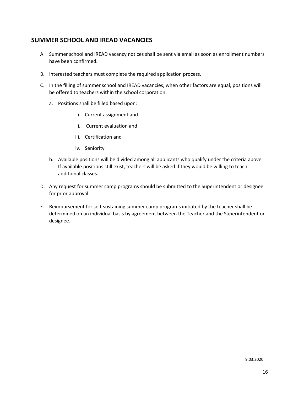# **SUMMER SCHOOL AND IREAD VACANCIES**

- A. Summer school and IREAD vacancy notices shall be sent via email as soon as enrollment numbers have been confirmed.
- B. Interested teachers must complete the required application process.
- C. In the filling of summer school and IREAD vacancies, when other factors are equal, positions will be offered to teachers within the school corporation.
	- a. Positions shall be filled based upon:
		- i. Current assignment and
		- ii. Current evaluation and
		- iii. Certification and
		- iv. Seniority
	- b. Available positions will be divided among all applicants who qualify under the criteria above. If available positions still exist, teachers will be asked if they would be willing to teach additional classes.
- D. Any request for summer camp programs should be submitted to the Superintendent or designee for prior approval.
- E. Reimbursement for self-sustaining summer camp programs initiated by the teacher shall be determined on an individual basis by agreement between the Teacher and the Superintendent or designee.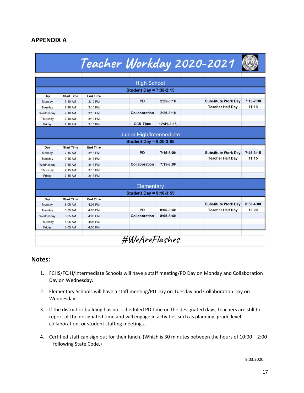# **APPENDIX A**

|                                                   |                                                                    |                                                               |                                   |                                | Teacher Workday 2020-2021                             |                      |
|---------------------------------------------------|--------------------------------------------------------------------|---------------------------------------------------------------|-----------------------------------|--------------------------------|-------------------------------------------------------|----------------------|
|                                                   |                                                                    |                                                               | <b>High School</b>                |                                |                                                       |                      |
|                                                   |                                                                    |                                                               | <b>Student Day = 7:30-2:15</b>    |                                |                                                       |                      |
| Day                                               | <b>Start Time</b>                                                  | <b>End Time</b>                                               |                                   |                                |                                                       |                      |
| Monday                                            | 7:10 AM                                                            | 3:10 PM                                                       | <b>PD</b>                         | $2:25-3:10$                    | <b>Substitute Work Day</b>                            | $7:15 - 2:30$        |
| Tuesday                                           | 7:10 AM                                                            | 3:10 PM                                                       |                                   |                                | <b>Teacher Half Day</b>                               | 11:10                |
| Wednesday                                         | 7:10 AM                                                            | $3:10$ PM                                                     | Collaboration                     | $2:25 - 3:10$                  |                                                       |                      |
| Thursday                                          | 7:10 AM                                                            | 3:10 PM                                                       |                                   |                                |                                                       |                      |
| Friday                                            | 7:10 AM                                                            | 3:10 PM                                                       | <b>CCR Time</b>                   | 12:41-2:15                     |                                                       |                      |
| Day<br>Monday<br>Tuesday<br>Wednesday<br>Thursday | <b>Start Time</b><br>$7:15$ AM<br>$7:15$ AM<br>$7:15$ AM<br>7:15AM | <b>End Time</b><br>3:15 PM<br>3:15 PM<br>3:15 PM<br>$3:15$ PM | <b>PD</b><br><b>Collaboration</b> | $7:15 - 8:00$<br>$7:15 - 8:00$ | <b>Substitute Work Day</b><br><b>Teacher Half Day</b> | $7:45-3:15$<br>11:15 |
| Friday                                            | $7:15$ AM                                                          | 3:15 PM                                                       |                                   |                                |                                                       |                      |
|                                                   |                                                                    |                                                               | Elementary                        |                                |                                                       |                      |
|                                                   |                                                                    |                                                               | Student Day = $9:10-3:55$         |                                |                                                       |                      |
| Day                                               | <b>Start Time</b>                                                  | <b>End Time</b>                                               |                                   |                                |                                                       |                      |
| Monday                                            | 8:05 AM                                                            | 4:05 PM                                                       |                                   |                                | <b>Substitute Work Day</b>                            | $8:30 - 4:00$        |
| Tuesday                                           | 8:05 AM                                                            | 4:05 PM                                                       | PD                                | $8:05 - 8:40$                  | <b>Teacher Half Day</b>                               | 12:00                |
| Wednesday                                         | 8:05 AM                                                            | 4:05 PM                                                       | <b>Collaboration</b>              | $8:05 - 8:40$                  |                                                       |                      |
| Thursday                                          | 8:05 AM                                                            | 4:05 PM                                                       |                                   |                                |                                                       |                      |
| Friday                                            | 8:05 AM                                                            | 4:05 PM                                                       |                                   |                                |                                                       |                      |

## **Notes:**

- 1. FCHS/FCJH/Intermediate Schools will have a staff meeting/PD Day on Monday and Collaboration Day on Wednesday.
- 2. Elementary Schools will have a staff meeting/PD Day on Tuesday and Collaboration Day on Wednesday.
- 3. If the district or building has not scheduled PD time on the designated days, teachers are still to report at the designated time and will engage in activities such as planning, grade level collaboration, or student staffing meetings.
- 4. Certified staff can sign out for their lunch. (Which is 30 minutes between the hours of 10:00 2:00 – following State Code.)

9.03.2020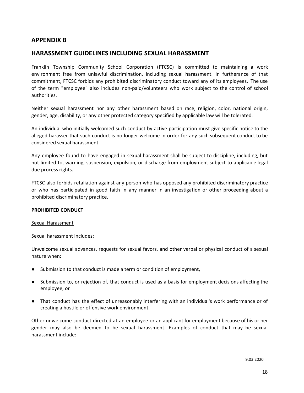## **APPENDIX B**

## **HARASSMENT GUIDELINES INCLUDING SEXUAL HARASSMENT**

Franklin Township Community School Corporation (FTCSC) is committed to maintaining a work environment free from unlawful discrimination, including sexual harassment. In furtherance of that commitment, FTCSC forbids any prohibited discriminatory conduct toward any of its employees. The use of the term "employee" also includes non-paid/volunteers who work subject to the control of school authorities.

Neither sexual harassment nor any other harassment based on race, religion, color, national origin, gender, age, disability, or any other protected category specified by applicable law will be tolerated.

An individual who initially welcomed such conduct by active participation must give specific notice to the alleged harasser that such conduct is no longer welcome in order for any such subsequent conduct to be considered sexual harassment.

Any employee found to have engaged in sexual harassment shall be subject to discipline, including, but not limited to, warning, suspension, expulsion, or discharge from employment subject to applicable legal due process rights.

FTCSC also forbids retaliation against any person who has opposed any prohibited discriminatory practice or who has participated in good faith in any manner in an investigation or other proceeding about a prohibited discriminatory practice.

#### **PROHIBITED CONDUCT**

#### Sexual Harassment

Sexual harassment includes:

Unwelcome sexual advances, requests for sexual favors, and other verbal or physical conduct of a sexual nature when:

- Submission to that conduct is made a term or condition of employment,
- Submission to, or rejection of, that conduct is used as a basis for employment decisions affecting the employee, or
- That conduct has the effect of unreasonably interfering with an individual's work performance or of creating a hostile or offensive work environment.

Other unwelcome conduct directed at an employee or an applicant for employment because of his or her gender may also be deemed to be sexual harassment. Examples of conduct that may be sexual harassment include: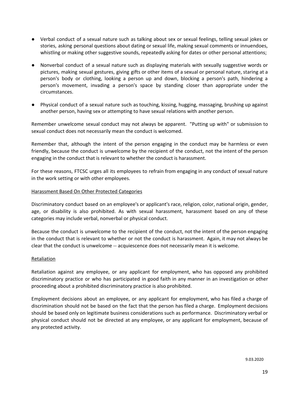- Verbal conduct of a sexual nature such as talking about sex or sexual feelings, telling sexual jokes or stories, asking personal questions about dating or sexual life, making sexual comments or innuendoes, whistling or making other suggestive sounds, repeatedly asking for dates or other personal attentions;
- Nonverbal conduct of a sexual nature such as displaying materials with sexually suggestive words or pictures, making sexual gestures, giving gifts or other items of a sexual or personal nature, staring at a person's body or clothing, looking a person up and down, blocking a person's path, hindering a person's movement, invading a person's space by standing closer than appropriate under the circumstances.
- Physical conduct of a sexual nature such as touching, kissing, hugging, massaging, brushing up against another person, having sex or attempting to have sexual relations with another person.

Remember unwelcome sexual conduct may not always be apparent. "Putting up with" or submission to sexual conduct does not necessarily mean the conduct is welcomed.

Remember that, although the intent of the person engaging in the conduct may be harmless or even friendly, because the conduct is unwelcome by the recipient of the conduct, not the intent of the person engaging in the conduct that is relevant to whether the conduct is harassment.

For these reasons, FTCSC urges all its employees to refrain from engaging in any conduct of sexual nature in the work setting or with other employees.

#### Harassment Based On Other Protected Categories

Discriminatory conduct based on an employee's or applicant's race, religion, color, national origin, gender, age, or disability is also prohibited. As with sexual harassment, harassment based on any of these categories may include verbal, nonverbal or physical conduct.

Because the conduct is unwelcome to the recipient of the conduct, not the intent of the person engaging in the conduct that is relevant to whether or not the conduct is harassment. Again, it may not always be clear that the conduct is unwelcome -- acquiescence does not necessarily mean it is welcome.

#### **Retaliation**

Retaliation against any employee, or any applicant for employment, who has opposed any prohibited discriminatory practice or who has participated in good faith in any manner in an investigation or other proceeding about a prohibited discriminatory practice is also prohibited.

Employment decisions about an employee, or any applicant for employment, who has filed a charge of discrimination should not be based on the fact that the person has filed a charge. Employment decisions should be based only on legitimate business considerations such as performance. Discriminatory verbal or physical conduct should not be directed at any employee, or any applicant for employment, because of any protected activity.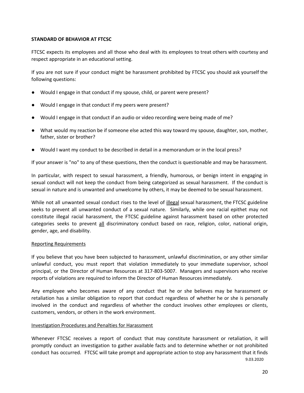#### **STANDARD OF BEHAVIOR AT FTCSC**

FTCSC expects its employees and all those who deal with its employees to treat others with courtesy and respect appropriate in an educational setting.

If you are not sure if your conduct might be harassment prohibited by FTCSC you should ask yourself the following questions:

- Would I engage in that conduct if my spouse, child, or parent were present?
- Would I engage in that conduct if my peers were present?
- Would I engage in that conduct if an audio or video recording were being made of me?
- What would my reaction be if someone else acted this way toward my spouse, daughter, son, mother, father, sister or brother?
- Would I want my conduct to be described in detail in a memorandum or in the local press?

If your answer is "no" to any of these questions, then the conduct is questionable and may be harassment.

In particular, with respect to sexual harassment, a friendly, humorous, or benign intent in engaging in sexual conduct will not keep the conduct from being categorized as sexual harassment. If the conduct is sexual in nature and is unwanted and unwelcome by others, it may be deemed to be sexual harassment.

While not all unwanted sexual conduct rises to the level of illegal sexual harassment, the FTCSC guideline seeks to prevent all unwanted conduct of a sexual nature. Similarly, while one racial epithet may not constitute illegal racial harassment, the FTCSC guideline against harassment based on other protected categories seeks to prevent all discriminatory conduct based on race, religion, color, national origin, gender, age, and disability.

#### Reporting Requirements

If you believe that you have been subjected to harassment, unlawful discrimination, or any other similar unlawful conduct, you must report that violation immediately to your immediate supervisor, school principal, or the Director of Human Resources at 317-803-5007. Managers and supervisors who receive reports of violations are required to inform the Director of Human Resources immediately.

Any employee who becomes aware of any conduct that he or she believes may be harassment or retaliation has a similar obligation to report that conduct regardless of whether he or she is personally involved in the conduct and regardless of whether the conduct involves other employees or clients, customers, vendors, or others in the work environment.

#### Investigation Procedures and Penalties for Harassment

Whenever FTCSC receives a report of conduct that may constitute harassment or retaliation, it will promptly conduct an investigation to gather available facts and to determine whether or not prohibited conduct has occurred. FTCSC will take prompt and appropriate action to stop any harassment that it finds 9.03.2020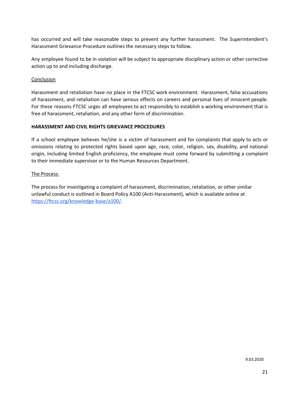has occurred and will take reasonable steps to prevent any further harassment. The Superintendent's Harassment Grievance Procedure outlines the necessary steps to follow.

Any employee found to be in violation will be subject to appropriate disciplinary action or other corrective action up to and including discharge.

#### **Conclusion**

Harassment and retaliation have no place in the FTCSC work environment. Harassment, false accusations of harassment, and retaliation can have serious effects on careers and personal lives of innocent people. For these reasons FTCSC urges all employees to act responsibly to establish a working environment that is free of harassment, retaliation, and any other form of discrimination.

#### **HARASSMENT AND CIVIL RIGHTS GRIEVANCE PROCEDURES**

If a school employee believes he/she is a victim of harassment and for complaints that apply to acts or omissions relating to protected rights based upon age, race, color, religion, sex, disability, and national origin, including limited English proficiency, the employee must come forward by submitting a complaint to their immediate supervisor or to the Human Resources Department.

#### The Process:

The process for investigating a complaint of harassment, discrimination, retaliation, or other similar unlawful conduct is outlined in Board Policy A100 (Anti-Harassment), which is available online at [https://ftcsc.org/knowledge-base/a100/.](https://ftcsc.org/knowledge-base/a100/)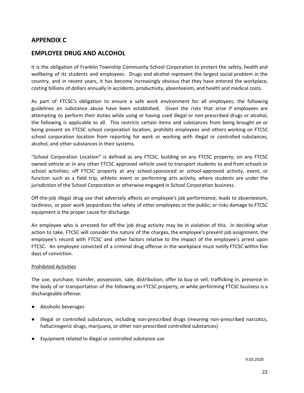# **APPENDIX C**

# **EMPLOYEE DRUG AND ALCOHOL**

It is the obligation of Franklin Township Community School Corporation to protect the safety, health and wellbeing of its students and employees. Drugs and alcohol represent the largest social problem in the country, and in recent years, it has become increasingly obvious that they have entered the workplace, costing billions of dollars annually in accidents, productivity, absenteeism, and health and medical costs.

As part of FTCSC's obligation to ensure a safe work environment for all employees, the following guidelines on substance abuse have been established. Given the risks that arise if employees are attempting to perform their duties while using or having used illegal or non-prescribed drugs or alcohol, the following is applicable to all. This restricts certain items and substances from being brought on or being present on FTCSC school corporation location, prohibits employees and others working on FTCSC school corporation location from reporting for work or working with illegal or controlled substances, alcohol, and other substances in their systems.

"School Corporation Location" is defined as any FTCSC. building on any FTCSC property; on any FTCSC owned vehicle or in any other FTCSC approved vehicle used to transport students to and from schools or school activities; off FTCSC property at any school-sponsored or school-approved activity, event, or function such as a field trip, athletic event or performing arts activity, where students are under the jurisdiction of the School Corporation or otherwise engaged in School Corporation business.

Off-the-job illegal drug use that adversely affects an employee's job performance; leads to absenteeism, tardiness, or poor work jeopardizes the safety of other employees or the public; or risks damage to FTCSC equipment is the proper cause for discharge.

An employee who is arrested for off-the job drug activity may be in violation of this. In deciding what action to take, FTCSC will consider the nature of the charges, the employee's present job assignment, the employee's record with FTCSC and other factors relative to the impact of the employee's arrest upon FTCSC. An employee convicted of a criminal drug offense in the workplace must notify FTCSC within five days of conviction.

#### Prohibited Activities

The use, purchase, transfer, possession, sale, distribution, offer to buy or sell, trafficking in, presence in the body of or transportation of the following on FTCSC property, or while performing FTCSC business is a dischargeable offense:

- Alcoholic beverages
- Illegal or controlled substances, including non-prescribed drugs (meaning non-prescribed narcotics, hallucinogenic drugs, marijuana, or other non-prescribed controlled substances)
- Equipment related to illegal or controlled substance use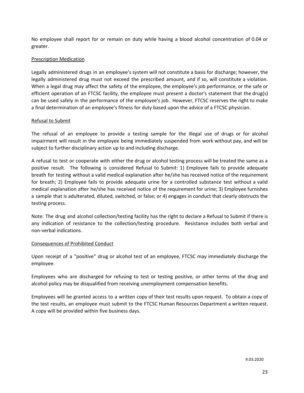No employee shall report for or remain on duty while having a blood alcohol concentration of 0.04 or greater.

#### Prescription Medication

Legally administered drugs in an employee's system will not constitute a basis for discharge; however, the legally administered drug must not exceed the prescribed amount, and if so, will constitute a violation. When a legal drug may affect the safety of the employee, the employee's job performance, or the safe or efficient operation of an FTCSC facility, the employee must present a doctor's statement that the drug(s) can be used safely in the performance of the employee's job. However, FTCSC reserves the right to make a final determination of an employee's fitness for duty based upon the advice of a FTCSC physician.

#### Refusal to Submit

The refusal of an employee to provide a testing sample for the illegal use of drugs or for alcohol impairment will result in the employee being immediately suspended from work without pay, and will be subject to further disciplinary action up to and including discharge.

A refusal to test or cooperate with either the drug or alcohol testing process will be treated the same as a positive result. The following is considered Refusal to Submit: 1) Employee fails to provide adequate breath for testing without a valid medical explanation after he/she has received notice of the requirement for breath; 2) Employee fails to provide adequate urine for a controlled substance test without a valid medical explanation after he/she has received notice of the requirement for urine; 3) Employee furnishes a sample that is adulterated, diluted, switched, or false; or 4) engages in conduct that clearly obstructs the testing process.

Note: The drug and alcohol collection/testing facility has the right to declare a Refusal to Submit if there is any indication of resistance to the collection/testing procedure. Resistance includes both verbal and non-verbal indications.

#### Consequences of Prohibited Conduct

Upon receipt of a "positive" drug or alcohol test of an employee, FTCSC may immediately discharge the employee.

Employees who are discharged for refusing to test or testing positive, or other terms of the drug and alcohol policy may be disqualified from receiving unemployment compensation benefits.

Employees will be granted access to a written copy of their test results upon request. To obtain a copy of the test results, an employee must submit to the FTCSC Human Resources Department a written request. A copy will be provided within five business days.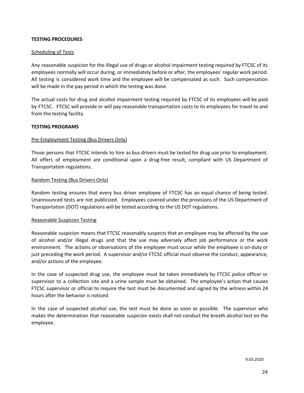#### **TESTING PROCEDURES**

#### Scheduling of Tests

Any reasonable suspicion for the illegal use of drugs or alcohol impairment testing required by FTCSC of its employees normally will occur during, or immediately before or after, the employees' regular work period. All testing is considered work time and the employee will be compensated as such. Such compensation will be made in the pay period in which the testing was done.

The actual costs for drug and alcohol impairment testing required by FTCSC of its employees will be paid by FTCSC. FTCSC will provide or will pay reasonable transportation costs to its employees for travel to and from the testing facility.

#### **TESTING PROGRAMS**

#### Pre-Employment Testing (Bus Drivers Only)

Those persons that FTCSC intends to hire as bus drivers must be tested for drug use prior to employment. All offers of employment are conditional upon a drug-free result, compliant with US Department of Transportation regulations.

#### Random Testing (Bus Drivers Only)

Random testing ensures that every bus driver employee of FTCSC has an equal chance of being tested. Unannounced tests are not publicized. Employees covered under the provisions of the US Department of Transportation (DOT) regulations will be tested according to the US DOT regulations.

#### Reasonable Suspicion Testing

Reasonable suspicion means that FTCSC reasonably suspects that an employee may be affected by the use of alcohol and/or illegal drugs and that the use may adversely affect job performance or the work environment. The actions or observations of the employee must occur while the employee is on-duty or just preceding the work period. A supervisor and/or FTCSC official must observe the conduct, appearance, and/or actions of the employee.

In the case of suspected drug use, the employee must be taken immediately by FTCSC police officer or supervisor to a collection site and a urine sample must be obtained. The employee's action that causes FTCSC supervisor or official to require the test must be documented and signed by the witness within 24 hours after the behavior is noticed.

In the case of suspected alcohol use, the test must be done as soon as possible. The supervisor who makes the determination that reasonable suspicion exists shall not conduct the breath alcohol test on the employee.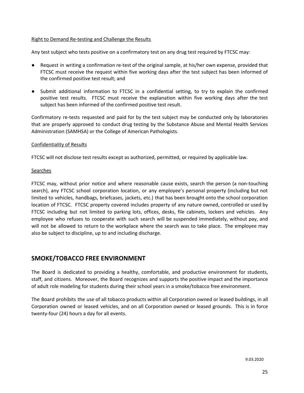#### Right to Demand Re-testing and Challenge the Results

Any test subject who tests positive on a confirmatory test on any drug test required by FTCSC may:

- Request in writing a confirmation re-test of the original sample, at his/her own expense, provided that FTCSC must receive the request within five working days after the test subject has been informed of the confirmed positive test result; and
- Submit additional information to FTCSC in a confidential setting, to try to explain the confirmed positive test results. FTCSC must receive the explanation within five working days after the test subject has been informed of the confirmed positive test result.

Confirmatory re-tests requested and paid for by the test subject may be conducted only by laboratories that are properly approved to conduct drug testing by the Substance Abuse and Mental Health Services Administration (SAMHSA) or the College of American Pathologists.

#### Confidentiality of Results

FTCSC will not disclose test results except as authorized, permitted, or required by applicable law.

#### Searches

FTCSC may, without prior notice and where reasonable cause exists, search the person (a non-touching search), any FTCSC school corporation location, or any employee's personal property (including but not limited to vehicles, handbags, briefcases, jackets, etc.) that has been brought onto the school corporation location of FTCSC. FTCSC property covered includes property of any nature owned, controlled or used by FTCSC including but not limited to parking lots, offices, desks, file cabinets, lockers and vehicles. Any employee who refuses to cooperate with such search will be suspended immediately, without pay, and will not be allowed to return to the workplace where the search was to take place. The employee may also be subject to discipline, up to and including discharge.

# **SMOKE/TOBACCO FREE ENVIRONMENT**

The Board is dedicated to providing a healthy, comfortable, and productive environment for students, staff, and citizens. Moreover, the Board recognizes and supports the positive impact and the importance of adult role modeling for students during their school years in a smoke/tobacco free environment.

The Board prohibits the use of all tobacco products within all Corporation owned or leased buildings, in all Corporation owned or leased vehicles, and on all Corporation owned or leased grounds. This is in force twenty-four (24) hours a day for all events.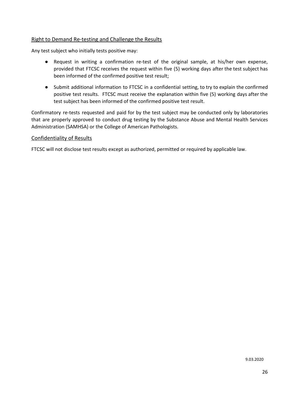#### Right to Demand Re-testing and Challenge the Results

Any test subject who initially tests positive may:

- Request in writing a confirmation re-test of the original sample, at his/her own expense, provided that FTCSC receives the request within five (5) working days after the test subject has been informed of the confirmed positive test result;
- Submit additional information to FTCSC in a confidential setting, to try to explain the confirmed positive test results. FTCSC must receive the explanation within five (5) working days after the test subject has been informed of the confirmed positive test result.

Confirmatory re-tests requested and paid for by the test subject may be conducted only by laboratories that are properly approved to conduct drug testing by the Substance Abuse and Mental Health Services Administration (SAMHSA) or the College of American Pathologists.

#### Confidentiality of Results

FTCSC will not disclose test results except as authorized, permitted or required by applicable law.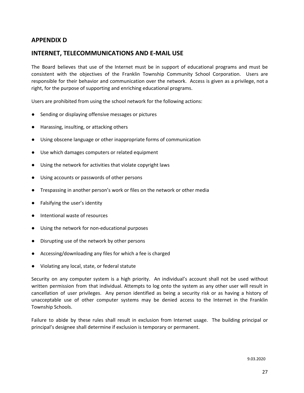# **APPENDIX D**

## **INTERNET, TELECOMMUNICATIONS AND E-MAIL USE**

The Board believes that use of the Internet must be in support of educational programs and must be consistent with the objectives of the Franklin Township Community School Corporation. Users are responsible for their behavior and communication over the network. Access is given as a privilege, not a right, for the purpose of supporting and enriching educational programs.

Users are prohibited from using the school network for the following actions:

- Sending or displaying offensive messages or pictures
- Harassing, insulting, or attacking others
- Using obscene language or other inappropriate forms of communication
- Use which damages computers or related equipment
- Using the network for activities that violate copyright laws
- Using accounts or passwords of other persons
- Trespassing in another person's work or files on the network or other media
- Falsifying the user's identity
- Intentional waste of resources
- Using the network for non-educational purposes
- Disrupting use of the network by other persons
- Accessing/downloading any files for which a fee is charged
- Violating any local, state, or federal statute

Security on any computer system is a high priority. An individual's account shall not be used without written permission from that individual. Attempts to log onto the system as any other user will result in cancellation of user privileges. Any person identified as being a security risk or as having a history of unacceptable use of other computer systems may be denied access to the Internet in the Franklin Township Schools.

Failure to abide by these rules shall result in exclusion from Internet usage. The building principal or principal's designee shall determine if exclusion is temporary or permanent.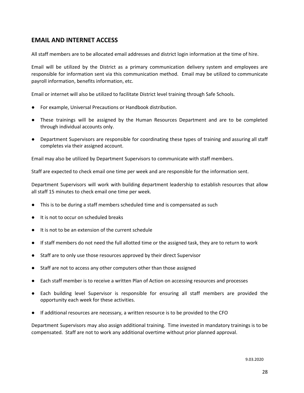# **EMAIL AND INTERNET ACCESS**

All staff members are to be allocated email addresses and district login information at the time of hire.

Email will be utilized by the District as a primary communication delivery system and employees are responsible for information sent via this communication method. Email may be utilized to communicate payroll information, benefits information, etc.

Email or internet will also be utilized to facilitate District level training through Safe Schools.

- For example, Universal Precautions or Handbook distribution.
- These trainings will be assigned by the Human Resources Department and are to be completed through individual accounts only.
- Department Supervisors are responsible for coordinating these types of training and assuring all staff completes via their assigned account.

Email may also be utilized by Department Supervisors to communicate with staff members.

Staff are expected to check email one time per week and are responsible for the information sent.

Department Supervisors will work with building department leadership to establish resources that allow all staff 15 minutes to check email one time per week.

- This is to be during a staff members scheduled time and is compensated as such
- It is not to occur on scheduled breaks
- It is not to be an extension of the current schedule
- If staff members do not need the full allotted time or the assigned task, they are to return to work
- Staff are to only use those resources approved by their direct Supervisor
- Staff are not to access any other computers other than those assigned
- Each staff member is to receive a written Plan of Action on accessing resources and processes
- Each building level Supervisor is responsible for ensuring all staff members are provided the opportunity each week for these activities.
- If additional resources are necessary, a written resource is to be provided to the CFO

Department Supervisors may also assign additional training. Time invested in mandatory trainings is to be compensated. Staff are not to work any additional overtime without prior planned approval.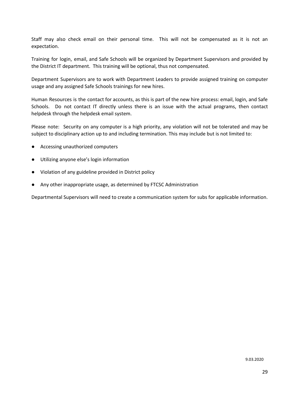Staff may also check email on their personal time. This will not be compensated as it is not an expectation.

Training for login, email, and Safe Schools will be organized by Department Supervisors and provided by the District IT department. This training will be optional, thus not compensated.

Department Supervisors are to work with Department Leaders to provide assigned training on computer usage and any assigned Safe Schools trainings for new hires.

Human Resources is the contact for accounts, as this is part of the new hire process: email, login, and Safe Schools. Do not contact IT directly unless there is an issue with the actual programs, then contact helpdesk through the helpdesk email system.

Please note: Security on any computer is a high priority, any violation will not be tolerated and may be subject to disciplinary action up to and including termination. This may include but is not limited to:

- Accessing unauthorized computers
- Utilizing anyone else's login information
- Violation of any guideline provided in District policy
- Any other inappropriate usage, as determined by FTCSC Administration

Departmental Supervisors will need to create a communication system for subs for applicable information.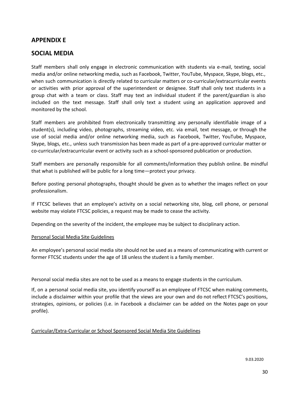## **APPENDIX E**

# **SOCIAL MEDIA**

Staff members shall only engage in electronic communication with students via e-mail, texting, social media and/or online networking media, such as Facebook, Twitter, YouTube, Myspace, Skype, blogs, etc., when such communication is directly related to curricular matters or co-curricular/extracurricular events or activities with prior approval of the superintendent or designee. Staff shall only text students in a group chat with a team or class. Staff may text an individual student if the parent/guardian is also included on the text message. Staff shall only text a student using an application approved and monitored by the school.

Staff members are prohibited from electronically transmitting any personally identifiable image of a student(s), including video, photographs, streaming video, etc. via email, text message, or through the use of social media and/or online networking media, such as Facebook, Twitter, YouTube, Myspace, Skype, blogs, etc., unless such transmission has been made as part of a pre-approved curricular matter or co-curricular/extracurricular event or activity such as a school-sponsored publication or production.

Staff members are personally responsible for all comments/information they publish online. Be mindful that what is published will be public for a long time—protect your privacy.

Before posting personal photographs, thought should be given as to whether the images reflect on your professionalism.

If FTCSC believes that an employee's activity on a social networking site, blog, cell phone, or personal website may violate FTCSC policies, a request may be made to cease the activity.

Depending on the severity of the incident, the employee may be subject to disciplinary action.

#### Personal Social Media Site Guidelines

An employee's personal social media site should not be used as a means of communicating with current or former FTCSC students under the age of 18 unless the student is a family member.

Personal social media sites are not to be used as a means to engage students in the curriculum.

If, on a personal social media site, you identify yourself as an employee of FTCSC when making comments, include a disclaimer within your profile that the views are your own and do not reflect FTCSC's positions, strategies, opinions, or policies (i.e. in Facebook a disclaimer can be added on the Notes page on your profile).

#### Curricular/Extra-Curricular or School Sponsored Social Media Site Guidelines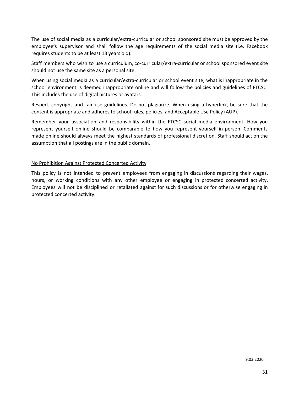The use of social media as a curricular/extra-curricular or school sponsored site must be approved by the employee's supervisor and shall follow the age requirements of the social media site (i.e. Facebook requires students to be at least 13 years old).

Staff members who wish to use a curriculum, co-curricular/extra-curricular or school sponsored event site should not use the same site as a personal site.

When using social media as a curricular/extra-curricular or school event site, what is inappropriate in the school environment is deemed inappropriate online and will follow the policies and guidelines of FTCSC. This includes the use of digital pictures or avatars.

Respect copyright and fair use guidelines. Do not plagiarize. When using a hyperlink, be sure that the content is appropriate and adheres to school rules, policies, and Acceptable Use Policy (AUP).

Remember your association and responsibility within the FTCSC social media environment. How you represent yourself online should be comparable to how you represent yourself in person. Comments made online should always meet the highest standards of professional discretion. Staff should act on the assumption that all postings are in the public domain.

#### No Prohibition Against Protected Concerted Activity

This policy is not intended to prevent employees from engaging in discussions regarding their wages, hours, or working conditions with any other employee or engaging in protected concerted activity. Employees will not be disciplined or retaliated against for such discussions or for otherwise engaging in protected concerted activity.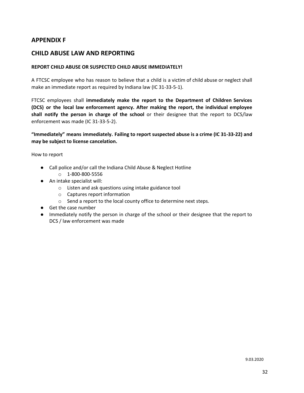# **APPENDIX F**

# **CHILD ABUSE LAW AND REPORTING**

#### **REPORT CHILD ABUSE OR SUSPECTED CHILD ABUSE IMMEDIATELY!**

A FTCSC employee who has reason to believe that a child is a victim of child abuse or neglect shall make an immediate report as required by Indiana law (IC 31-33-5-1).

FTCSC employees shall **immediately make the report to the Department of Children Services (DCS) or the local law enforcement agency. After making the report, the individual employee shall notify the person in charge of the school** or their designee that the report to DCS/law enforcement was made (IC 31-33-5-2).

**"Immediately" means immediately. Failing to report suspected abuse is a crime (IC 31-33-22) and may be subject to license cancelation.**

How to report

- Call police and/or call the Indiana Child Abuse & Neglect Hotline
	- o 1-800-800-5556
- An intake specialist will:
	- o Listen and ask questions using intake guidance tool
	- o Captures report information
	- o Send a report to the local county office to determine next steps.
- Get the case number
- Immediately notify the person in charge of the school or their designee that the report to DCS / law enforcement was made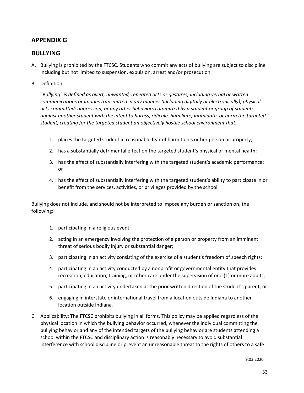# **APPENDIX G**

# **BULLYING**

- A. Bullying is prohibited by the FTCSC. Students who commit any acts of bullying are subject to discipline including but not limited to suspension, expulsion, arrest and/or prosecution.
- B. Definition:

"Bu*llying" is defined as overt, unwanted, repeated acts or gestures, including verbal or written communications or images transmitted in any manner (including digitally or electronically); physical acts committed; aggression; or any other behaviors committed by a student or group of students against another student with the intent to harass, ridicule, humiliate, intimidate, or harm the targeted student, creating for the targeted student an objectively hostile school environment that:*

- 1. places the targeted student in reasonable fear of harm to his or her person or property;
- 2. has a substantially detrimental effect on the targeted student's physical or mental health;
- 3. has the effect of substantially interfering with the targeted student's academic performance; or
- 4. has the effect of substantially interfering with the targeted student's ability to participate in or benefit from the services, activities, or privileges provided by the school.

Bullying does not include, and should not be interpreted to impose any burden or sanction on, the following:

- 1. participating in a religious event;
- 2. acting in an emergency involving the protection of a person or property from an imminent threat of serious bodily injury or substantial danger;
- 3. participating in an activity consisting of the exercise of a student's freedom of speech rights;
- 4. participating in an activity conducted by a nonprofit or governmental entity that provides recreation, education, training, or other care under the supervision of one (1) or more adults;
- 5. participating in an activity undertaken at the prior written direction of the student's parent; or
- 6. engaging in interstate or international travel from a location outside Indiana to another location outside Indiana.
- C. Applicability: The FTCSC prohibits bullying in all forms. This policy may be applied regardless of the physical location in which the bullying behavior occurred, whenever the individual committing the bullying behavior and any of the intended targets of the bullying behavior are students attending a school within the FTCSC and disciplinary action is reasonably necessary to avoid substantial interference with school discipline or prevent an unreasonable threat to the rights of others to a safe

9.03.2020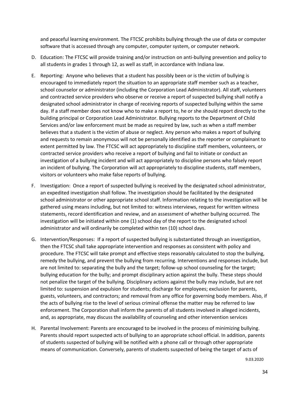and peaceful learning environment. The FTCSC prohibits bullying through the use of data or computer software that is accessed through any computer, computer system, or computer network.

- D. Education: The FTCSC will provide training and/or instruction on anti-bullying prevention and policy to all students in grades 1 through 12, as well as staff, in accordance with Indiana law.
- E. Reporting: Anyone who believes that a student has possibly been or is the victim of bullying is encouraged to immediately report the situation to an appropriate staff member such as a teacher, school counselor or administrator (including the Corporation Lead Administrator). All staff, volunteers and contracted service providers who observe or receive a report of suspected bullying shall notify a designated school administrator in charge of receiving reports of suspected bullying within the same day. If a staff member does not know who to make a report to, he or she should report directly to the building principal or Corporation Lead Administrator. Bullying reports to the Department of Child Services and/or law enforcement must be made as required by law, such as when a staff member believes that a student is the victim of abuse or neglect. Any person who makes a report of bullying and requests to remain anonymous will not be personally identified as the reporter or complainant to extent permitted by law. The FTCSC will act appropriately to discipline staff members, volunteers, or contracted service providers who receive a report of bullying and fail to initiate or conduct an investigation of a bullying incident and will act appropriately to discipline persons who falsely report an incident of bullying. The Corporation will act appropriately to discipline students, staff members, visitors or volunteers who make false reports of bullying.
- F. Investigation: Once a report of suspected bullying is received by the designated school administrator, an expedited investigation shall follow. The investigation should be facilitated by the designated school administrator or other appropriate school staff. Information relating to the investigation will be gathered using means including, but not limited to: witness interviews, request for written witness statements, record identification and review, and an assessment of whether bullying occurred. The investigation will be initiated within one (1) school day of the report to the designated school administrator and will ordinarily be completed within ten (10) school days.
- G. Intervention/Responses: If a report of suspected bullying is substantiated through an investigation, then the FTCSC shall take appropriate intervention and responses as consistent with policy and procedure. The FTCSC will take prompt and effective steps reasonably calculated to stop the bullying, remedy the bullying, and prevent the bullying from recurring. Interventions and responses include, but are not limited to: separating the bully and the target; follow-up school counseling for the target; bullying education for the bully; and prompt disciplinary action against the bully. These steps should not penalize the target of the bullying. Disciplinary actions against the bully may include, but are not limited to: suspension and expulsion for students; discharge for employees; exclusion for parents, guests, volunteers, and contractors; and removal from any office for governing body members. Also, if the acts of bullying rise to the level of serious criminal offense the matter may be referred to law enforcement. The Corporation shall inform the parents of all students involved in alleged incidents, and, as appropriate, may discuss the availability of counseling and other intervention services
- H. Parental Involvement: Parents are encouraged to be involved in the process of minimizing bullying. Parents should report suspected acts of bullying to an appropriate school official. In addition, parents of students suspected of bullying will be notified with a phone call or through other appropriate means of communication. Conversely, parents of students suspected of being the target of acts of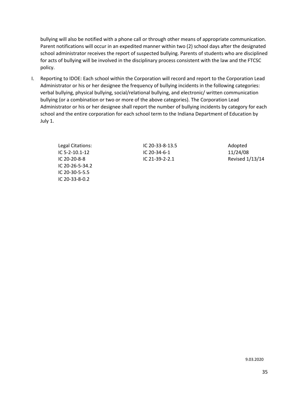bullying will also be notified with a phone call or through other means of appropriate communication. Parent notifications will occur in an expedited manner within two (2) school days after the designated school administrator receives the report of suspected bullying. Parents of students who are disciplined for acts of bullying will be involved in the disciplinary process consistent with the law and the FTCSC policy.

I. Reporting to IDOE: Each school within the Corporation will record and report to the Corporation Lead Administrator or his or her designee the frequency of bullying incidents in the following categories: verbal bullying, physical bullying, social/relational bullying, and electronic/ written communication bullying (or a combination or two or more of the above categories). The Corporation Lead Administrator or his or her designee shall report the number of bullying incidents by category for each school and the entire corporation for each school term to the Indiana Department of Education by July 1.

> Legal Citations: IC 5-2-10.1-12 IC 20-20-8-8 IC 20-26-5-34.2 IC 20-30-5-5.5 IC 20-33-8-0.2

IC 20-33-8-13.5 IC 20-34-6-1 IC 21-39-2-2.1

Adopted 11/24/08 Revised 1/13/14

9.03.2020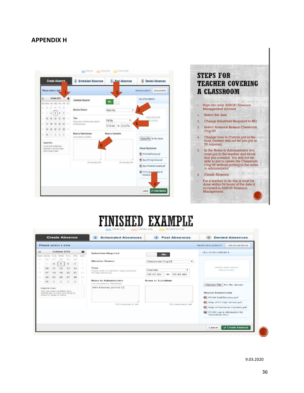# **APPENDIX H**



# **FINISHED EXAMPLE**

| Please select a date                                                                                                  |                               |                |                       |                                         |                                                                      |                                           |                       |                         | Need more options?                                                                   | Advanced Mode                  |  |
|-----------------------------------------------------------------------------------------------------------------------|-------------------------------|----------------|-----------------------|-----------------------------------------|----------------------------------------------------------------------|-------------------------------------------|-----------------------|-------------------------|--------------------------------------------------------------------------------------|--------------------------------|--|
| £3                                                                                                                    | October 2016<br>$\bullet$     |                |                       | <b>Substitute Required</b><br><b>No</b> |                                                                      |                                           |                       | <b>FILE ATTACHMENTS</b> |                                                                                      |                                |  |
| SUN MON TUE WED THU<br>25<br>26                                                                                       | コエ<br>DВ<br>5<br>$\mathbf{d}$ | 29<br>$\sigma$ | PBH 1<br>30<br>$\tau$ | SAT<br>m.                               | <b>Absence Reason</b>                                                | Classroom Cvg/25                          |                       | $\cdot$                 |                                                                                      |                                |  |
| n<br>10<br>TE.<br>17                                                                                                  |                               | 20             | 生成<br>21              | 开放<br>22                                | Time<br>Please enter a valid time range using the<br>HH MM AM format | Custom<br>۰<br>09:46 AM<br>08:45 AM<br>to |                       |                         | DRAG AND DROP.<br><b>FILES HERE</b><br>---------                                     |                                |  |
| 23<br>24                                                                                                              | 25<br>26                      | 27             | 28                    | 291                                     |                                                                      |                                           |                       |                         |                                                                                      |                                |  |
| 31<br>aa.                                                                                                             |                               |                |                       |                                         | <b>Notes to Administrator</b><br>(not viewable by Substitute)        | Notes to Substitute                       |                       |                         | Choose File   No file chosen                                                         |                                |  |
| <b>Helpful Hint:</b><br>You can select multiple days<br>individually or click-and-drag to<br>select a range of dates. |                               |                |                       |                                         | Mrs Massey period 2                                                  |                                           |                       |                         | <b>Shared Attachments</b><br>啊 FCHS Staff Directory.pdf<br>Map of FC High School.pdf |                                |  |
|                                                                                                                       |                               |                |                       |                                         | 235 character(s) left                                                |                                           | 255 character(s) left |                         | <b>START</b>                                                                         | 啊) Map of Freshman Academy.pdf |  |
|                                                                                                                       |                               |                |                       |                                         |                                                                      |                                           |                       |                         | <b>Call</b><br>Substitutes dock                                                      | FCHS Log in information for    |  |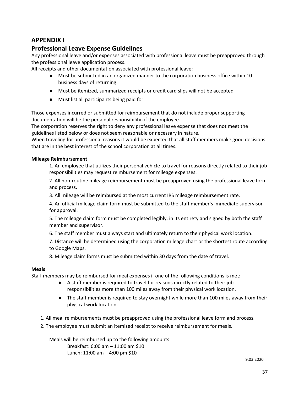# **APPENDIX I**

# **Professional Leave Expense Guidelines**

Any professional leave and/or expenses associated with professional leave must be preapproved through the professional leave application process.

All receipts and other documentation associated with professional leave:

- Must be submitted in an organized manner to the corporation business office within 10 business days of returning.
- Must be itemized, summarized receipts or credit card slips will not be accepted
- Must list all participants being paid for

Those expenses incurred or submitted for reimbursement that do not include proper supporting documentation will be the personal responsibility of the employee.

The corporation reserves the right to deny any professional leave expense that does not meet the guidelines listed below or does not seem reasonable or necessary in nature.

When traveling for professional reasons it would be expected that all staff members make good decisions that are in the best interest of the school corporation at all times.

#### **Mileage Reimbursement**

1. An employee that utilizes their personal vehicle to travel for reasons directly related to their job responsibilities may request reimbursement for mileage expenses.

2. All non-routine mileage reimbursement must be preapproved using the professional leave form and process.

3. All mileage will be reimbursed at the most current IRS mileage reimbursement rate.

4. An official mileage claim form must be submitted to the staff member's immediate supervisor for approval.

5. The mileage claim form must be completed legibly, in its entirety and signed by both the staff member and supervisor.

6. The staff member must always start and ultimately return to their physical work location.

7. Distance will be determined using the corporation mileage chart or the shortest route according to Google Maps.

8. Mileage claim forms must be submitted within 30 days from the date of travel.

#### **Meals**

Staff members may be reimbursed for meal expenses if one of the following conditions is met:

- A staff member is required to travel for reasons directly related to their job responsibilities more than 100 miles away from their physical work location.
- The staff member is required to stay overnight while more than 100 miles away from their physical work location.
- 1. All meal reimbursements must be preapproved using the professional leave form and process.
- 2. The employee must submit an itemized receipt to receive reimbursement for meals.

Meals will be reimbursed up to the following amounts: Breakfast: 6:00 am – 11:00 am \$10 Lunch: 11:00 am – 4:00 pm \$10

9.03.2020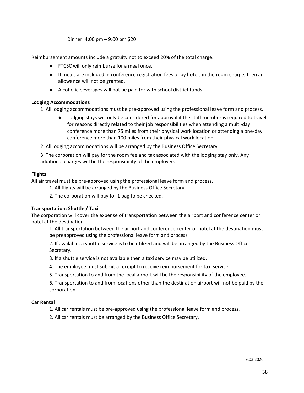Dinner: 4:00 pm – 9:00 pm \$20

Reimbursement amounts include a gratuity not to exceed 20% of the total charge.

- FTCSC will only reimburse for a meal once.
- If meals are included in conference registration fees or by hotels in the room charge, then an allowance will not be granted.
- Alcoholic beverages will not be paid for with school district funds.

#### **Lodging Accommodations**

1. All lodging accommodations must be pre-approved using the professional leave form and process.

- Lodging stays will only be considered for approval if the staff member is required to travel for reasons directly related to their job responsibilities when attending a multi-day conference more than 75 miles from their physical work location or attending a one-day conference more than 100 miles from their physical work location.
- 2. All lodging accommodations will be arranged by the Business Office Secretary.

3. The corporation will pay for the room fee and tax associated with the lodging stay only. Any additional charges will be the responsibility of the employee.

#### **Flights**

All air travel must be pre-approved using the professional leave form and process.

1. All flights will be arranged by the Business Office Secretary.

2. The corporation will pay for 1 bag to be checked.

#### **Transportation: Shuttle / Taxi**

The corporation will cover the expense of transportation between the airport and conference center or hotel at the destination.

1. All transportation between the airport and conference center or hotel at the destination must be preapproved using the professional leave form and process.

2. If available, a shuttle service is to be utilized and will be arranged by the Business Office Secretary.

3. If a shuttle service is not available then a taxi service may be utilized.

- 4. The employee must submit a receipt to receive reimbursement for taxi service.
- 5. Transportation to and from the local airport will be the responsibility of the employee.

6. Transportation to and from locations other than the destination airport will not be paid by the corporation.

#### **Car Rental**

1. All car rentals must be pre-approved using the professional leave form and process.

2. All car rentals must be arranged by the Business Office Secretary.